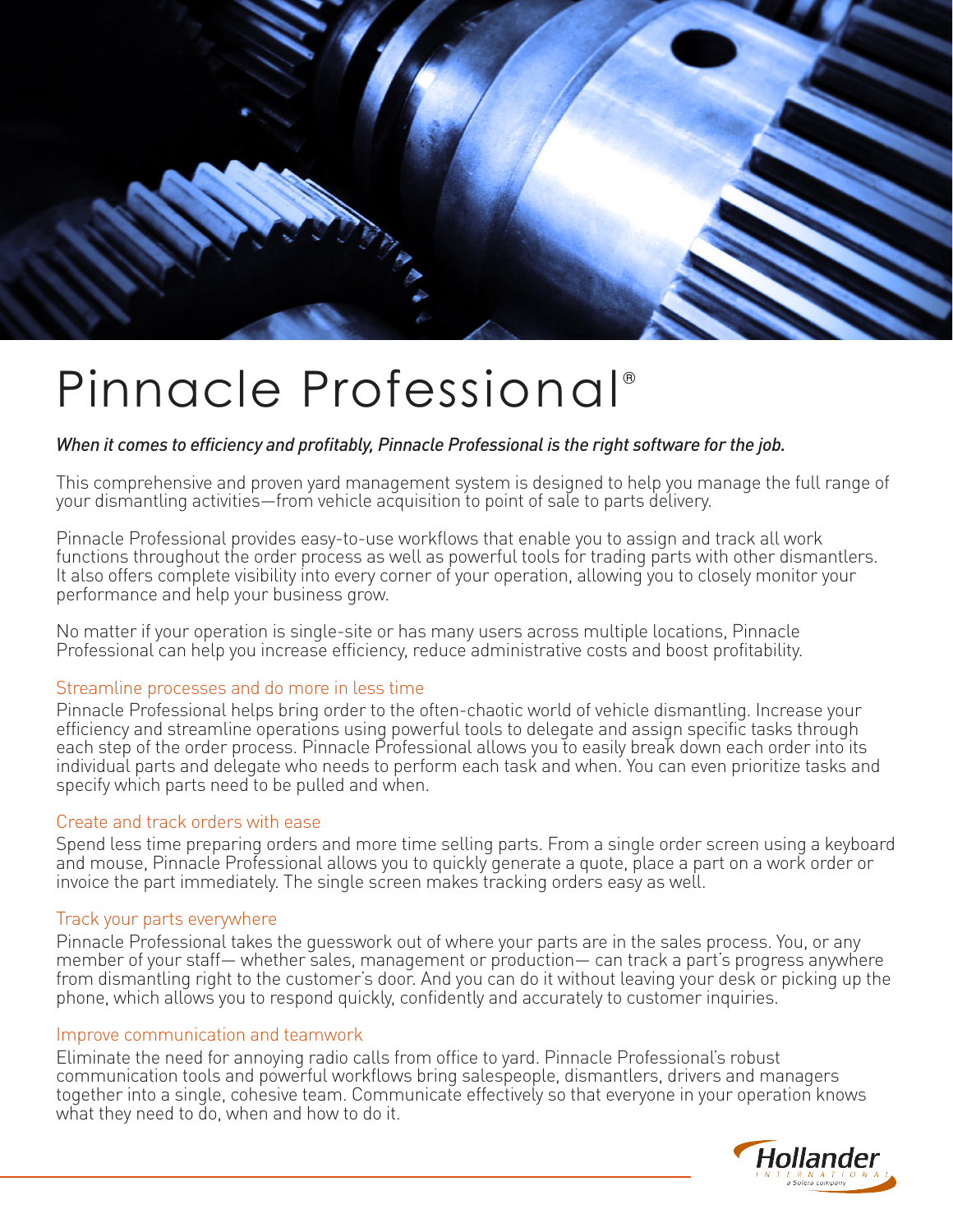

# Pinnacle Professional<sup>®</sup>

## *When it comes to efficiency and profitably, Pinnacle Professional is the right software for the job.*

This comprehensive and proven yard management system is designed to help you manage the full range of your dismantling activities—from vehicle acquisition to point of sale to parts delivery.

Pinnacle Professional provides easy-to-use workflows that enable you to assign and track all work functions throughout the order process as well as powerful tools for trading parts with other dismantlers. It also offers complete visibility into every corner of your operation, allowing you to closely monitor your performance and help your business grow.

No matter if your operation is single-site or has many users across multiple locations, Pinnacle Professional can help you increase efficiency, reduce administrative costs and boost profitability.

#### Streamline processes and do more in less time

Pinnacle Professional helps bring order to the often-chaotic world of vehicle dismantling. Increase your efficiency and streamline operations using powerful tools to delegate and assign specific tasks through each step of the order process. Pinnacle Professional allows you to easily break down each order into its individual parts and delegate who needs to perform each task and when. You can even prioritize tasks and specify which parts need to be pulled and when.

#### Create and track orders with ease

Spend less time preparing orders and more time selling parts. From a single order screen using a keyboard and mouse, Pinnacle Professional allows you to quickly generate a quote, place a part on a work order or invoice the part immediately. The single screen makes tracking orders easy as well.

#### Track your parts everywhere

Pinnacle Professional takes the guesswork out of where your parts are in the sales process. You, or any member of your staff— whether sales, management or production— can track a part's progress anywhere from dismantling right to the customer's door. And you can do it without leaving your desk or picking up the phone, which allows you to respond quickly, confidently and accurately to customer inquiries.

#### Improve communication and teamwork

Eliminate the need for annoying radio calls from office to yard. Pinnacle Professional's robust communication tools and powerful workflows bring salespeople, dismantlers, drivers and managers together into a single, cohesive team. Communicate effectively so that everyone in your operation knows what they need to do, when and how to do it.